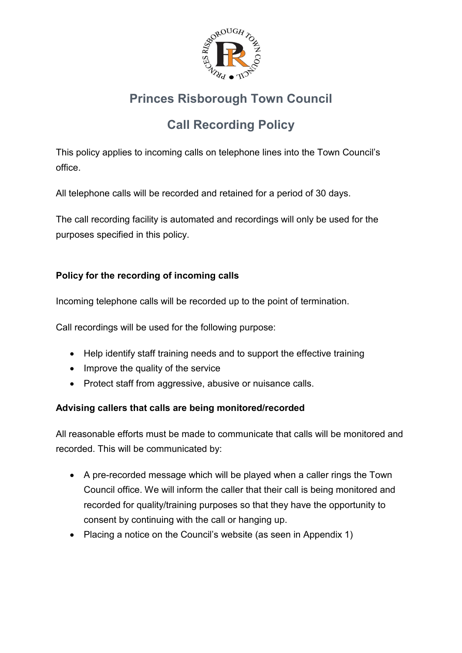

# **Princes Risborough Town Council**

# **Call Recording Policy**

This policy applies to incoming calls on telephone lines into the Town Council's office.

All telephone calls will be recorded and retained for a period of 30 days.

The call recording facility is automated and recordings will only be used for the purposes specified in this policy.

# **Policy for the recording of incoming calls**

Incoming telephone calls will be recorded up to the point of termination.

Call recordings will be used for the following purpose:

- Help identify staff training needs and to support the effective training
- Improve the quality of the service
- Protect staff from aggressive, abusive or nuisance calls.

# **Advising callers that calls are being monitored/recorded**

All reasonable efforts must be made to communicate that calls will be monitored and recorded. This will be communicated by:

- A pre-recorded message which will be played when a caller rings the Town Council office. We will inform the caller that their call is being monitored and recorded for quality/training purposes so that they have the opportunity to consent by continuing with the call or hanging up.
- Placing a notice on the Council's website (as seen in Appendix 1)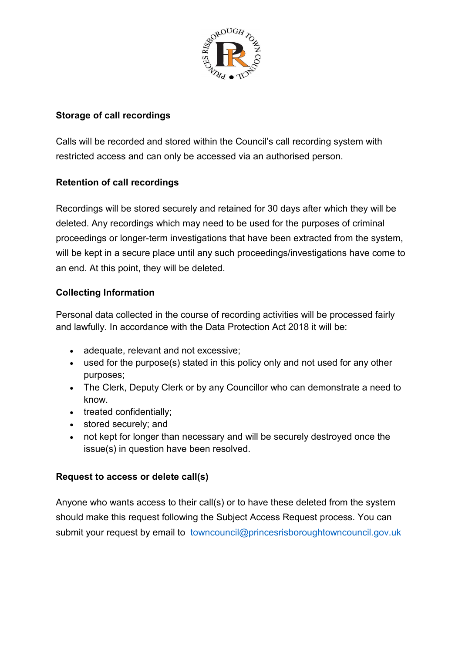

## **Storage of call recordings**

Calls will be recorded and stored within the Council's call recording system with restricted access and can only be accessed via an authorised person.

# **Retention of call recordings**

Recordings will be stored securely and retained for 30 days after which they will be deleted. Any recordings which may need to be used for the purposes of criminal proceedings or longer-term investigations that have been extracted from the system, will be kept in a secure place until any such proceedings/investigations have come to an end. At this point, they will be deleted.

### **Collecting Information**

Personal data collected in the course of recording activities will be processed fairly and lawfully. In accordance with the Data Protection Act 2018 it will be:

- adequate, relevant and not excessive;
- used for the purpose(s) stated in this policy only and not used for any other purposes;
- The Clerk, Deputy Clerk or by any Councillor who can demonstrate a need to know.
- treated confidentially;
- stored securely; and
- not kept for longer than necessary and will be securely destroyed once the issue(s) in question have been resolved.

#### **Request to access or delete call(s)**

Anyone who wants access to their call(s) or to have these deleted from the system should make this request following the Subject Access Request process. You can submit your request by email to [towncouncil@princesrisboroughtowncouncil.gov.uk](mailto:towncouncil@princesrisboroughtowncouncil.gov.uk)